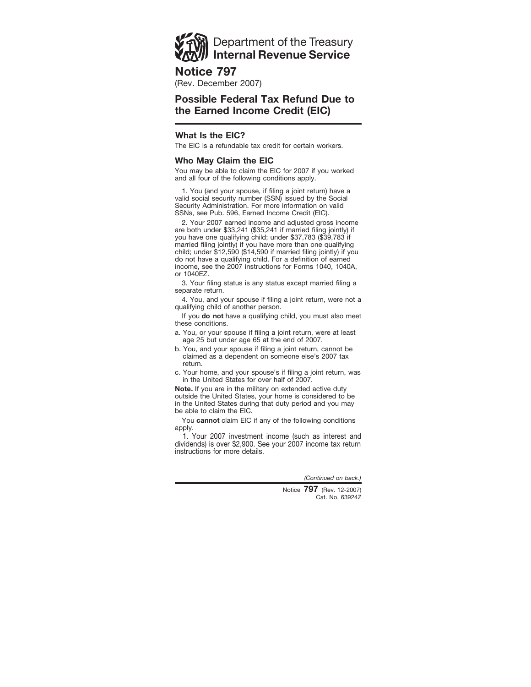# Department of the Treasury **Internal Revenue Service**

## **Notice 797**

(Rev. December 2007)

## **Possible Federal Tax Refund Due to the Earned Income Credit (EIC)**

## **What Is the EIC?**

The EIC is a refundable tax credit for certain workers.

### **Who May Claim the EIC**

You may be able to claim the EIC for 2007 if you worked and all four of the following conditions apply.

1. You (and your spouse, if filing a joint return) have a valid social security number (SSN) issued by the Social Security Administration. For more information on valid SSNs, see Pub. 596, Earned Income Credit (EIC).

2. Your 2007 earned income and adjusted gross income are both under \$33,241 (\$35,241 if married filing jointly) if you have one qualifying child; under \$37,783 (\$39,783 if married filing jointly) if you have more than one qualifying child; under \$12,590 (\$14,590 if married filing jointly) if you do not have a qualifying child. For a definition of earned income, see the 2007 instructions for Forms 1040, 1040A, or 1040EZ.

3. Your filing status is any status except married filing a separate return.

4. You, and your spouse if filing a joint return, were not a qualifying child of another person.

If you **do not** have a qualifying child, you must also meet these conditions.

- a. You, or your spouse if filing a joint return, were at least age 25 but under age 65 at the end of 2007.
- b. You, and your spouse if filing a joint return, cannot be claimed as a dependent on someone else's 2007 tax return.
- c. Your home, and your spouse's if filing a joint return, was in the United States for over half of 2007.

**Note.** If you are in the military on extended active duty outside the United States, your home is considered to be in the United States during that duty period and you may be able to claim the EIC.

You **cannot** claim EIC if any of the following conditions apply.

1. Your 2007 investment income (such as interest and dividends) is over \$2,900. See your 2007 income tax return instructions for more details.

*(Continued on back.)*

Cat. No. 63924Z Notice **797** (Rev. 12-2007)